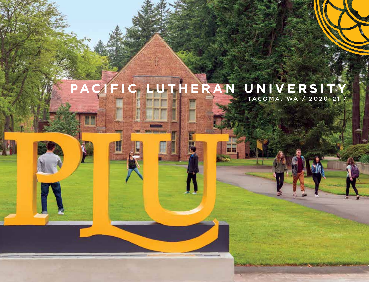### TACOMA, WA / 2020-21 / **PACIFIC LUTHERAN UNIVERSITY**

m F

라변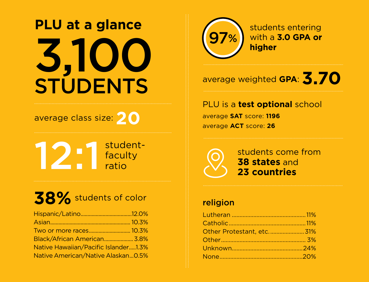# **PLU at a glance** 3,100 **STUDENTS**

## average class size: **20**

studentfaculty ratio 12:1

# **38%** students of color

| Black/African American 3.8%          |  |
|--------------------------------------|--|
| Native Hawaiian/Pacific Islander1.3% |  |
| Native American/Native Alaskan0.5%   |  |



students entering with a **3.0 GPA or higher**

## average weighted **GPA**: **3.70**

PLU is a **test optional** school average **SAT** score: **1196** average **ACT** score: **26**

students come from **38 states** and **23 countries**

### religion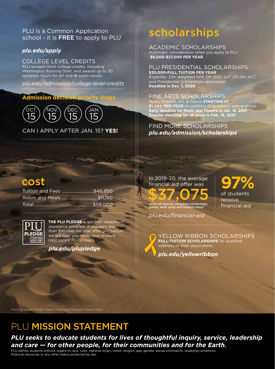### PLU is a Common Application school - it is FREE to apply to PLU

### *plu.edu/apply*

### COLLEGE LEVEL CREDITS

PLU accepts most college credits, including Washington Running Start, and awards up to 30 semester hours for AP and IB exam results.

*plu.edu/admission/college-level-credits*

### **Admission decision priority dates**



# scholarships

ACADEMIC SCHOLARSHIPS Automatic consideration when you apply to PLU  **\$6,000-\$27,000 PER YEAR**

### PLU PRESIDENTIAL SCHOLARSHIPS

**\$30,000-FULL TUITION PER YEAR** *Eligibility: 3.8+ weighted GPA OR 1310+ SAT OR 28+ ACT, and Presidential Scholarships application* **Deadline is Dec. 1, 2020**

### FINE ARTS SCHOLARSHIPS

Music, Theatre, Art, & Dance **STARTING AT \$1,000 PER YEAR** *(in addition to academic scholarships)* **Early deadline for Music and Theatre is Jan. 15, 2021 Regular deadline for all areas is Feb. 19, 2021**

FIND MORE SCHOLARSHIPS CAN I APPLY AFTER JAN. 15? **YES!** *plu.edu/admission/scholarships*

## cost

Tuition and Fees ...........................\$46,850 Room and Meals................................\$11,150 Total....................................................\$58,000



**THE PLU PLEDGE** is our loan repayment assistance program. If you earn less than \$50,000 per year after graduation, we will help you repay your student (and parent PLUS) loans.

*plu.edu/plupledge*

In 2019-20, the average financial aid offer was \$37,075 *(from all sources, including scholarships, grants, work study and student loans)*

*plu.edu/financial-aid*

**97%** of students receive financial aid

YELLOW RIBBON SCHOLARSHIPS **FULL-TUITION SCHOLARSHIPS** for qualified veterans or their dependents.

*plu.edu/yellowribbon*

*Photo by student Kaitlyn Stabell, while studying away in Death Valley*

## PLU MISSION STATEMENT

## *PLU seeks to educate students for lives of thoughtful inquiry, service, leadership and care — for other people, for their communities and for the Earth.*

PLU admits students without regard to race, color, national origin, creed, religion, age, gender, sexual orientation, disabling conditions, financial resources or any other status protected by law.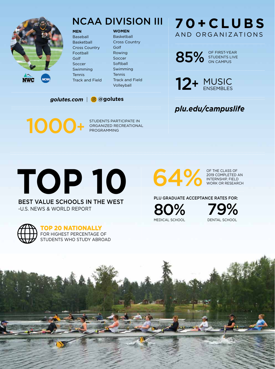

## NCAA DIVISION III

Baseball Basketball Cross Country Football Golf Soccer Swimming **Tennis** Track and Field

**MEN**

#### **WOMEN**

Basketball Cross Country Golf Rowing Soccer **Softball** Swimming Tennis Track and Field Volleyball

### *golutes.com* | **@golutes**

## **70+CLUBS** AND ORGANIZATIONS

85% STUDENTS LIVE STUDENTS LIVE ON CAMPUS

12+ MUSIC ENSEMBLES

## *plu.edu/campuslife*

1000+

STUDENTS PARTICIPATE IN ORGANIZED RECREATIONAL PROGRAMMING

OF THE CLASS OF 2019 COMPLETED AN<br>INTERNSHIP, FIELD

### PLU GRADUATE ACCEPTANCE RATES FOR:

80 MEDICAL SCHOOL

% 79 DENTAL SCHOOL %



-U.S. NEWS & WORLD REPORT



### TOP 20 NATIONALLY

FOR HIGHEST PERCENTAGE OF STUDENTS WHO STUDY ABROAD